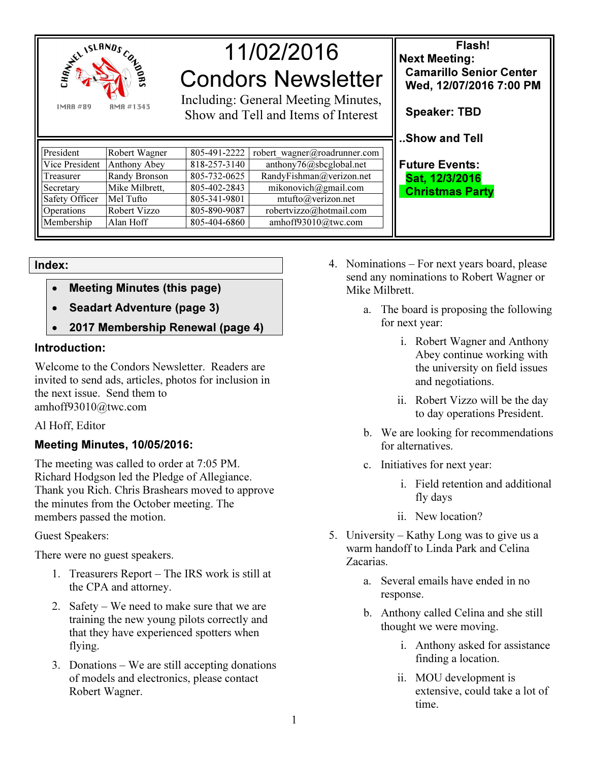

**IMAR#89 AMA #1343** 

# 11/02/2016 Condors Newsletter

Including: General Meeting Minutes, Show and Tell and Items of Interest

| President             | Robert Wagner  | 805-491-2222 | robert wagner@roadrunner.com |
|-----------------------|----------------|--------------|------------------------------|
| Vice President        | Anthony Abey   | 818-257-3140 | anthony76@sbcglobal.net      |
| Treasurer             | Randy Bronson  | 805-732-0625 | RandyFishman@verizon.net     |
| Secretary             | Mike Milbrett, | 805-402-2843 | mikonovich@gmail.com         |
| <b>Safety Officer</b> | Mel Tufto      | 805-341-9801 | mtufto@verizon.net           |
| Operations            | Robert Vizzo   | 805-890-9087 | robertvizzo@hotmail.com      |
| Membership            | Alan Hoff      | 805-404-6860 | amhoff93010@twc.com          |

Flash! Next Meeting: Camarillo Senior Center Wed, 12/07/2016 7:00 PM Speaker: TBD

..Show and Tell

Future Events: Sat, 12/3/2016 Christmas Party

### Index:

- Meeting Minutes (this page)
- Seadart Adventure (page 3)
- 2017 Membership Renewal (page 4)

## Introduction:

Welcome to the Condors Newsletter. Readers are invited to send ads, articles, photos for inclusion in the next issue. Send them to amhoff93010@twc.com

Al Hoff, Editor

## Meeting Minutes, 10/05/2016:

The meeting was called to order at 7:05 PM. Richard Hodgson led the Pledge of Allegiance. Thank you Rich. Chris Brashears moved to approve the minutes from the October meeting. The members passed the motion.

Guest Speakers:

There were no guest speakers.

- 1. Treasurers Report The IRS work is still at the CPA and attorney.
- 2. Safety We need to make sure that we are training the new young pilots correctly and that they have experienced spotters when flying.
- 3. Donations We are still accepting donations of models and electronics, please contact Robert Wagner.
- 4. Nominations For next years board, please send any nominations to Robert Wagner or Mike Milbrett.
	- a. The board is proposing the following for next year:
		- i. Robert Wagner and Anthony Abey continue working with the university on field issues and negotiations.
		- ii. Robert Vizzo will be the day to day operations President.
	- b. We are looking for recommendations for alternatives.
	- c. Initiatives for next year:
		- i. Field retention and additional fly days
		- ii. New location?
- 5. University Kathy Long was to give us a warm handoff to Linda Park and Celina Zacarias.
	- a. Several emails have ended in no response.
	- b. Anthony called Celina and she still thought we were moving.
		- i. Anthony asked for assistance finding a location.
		- ii. MOU development is extensive, could take a lot of time.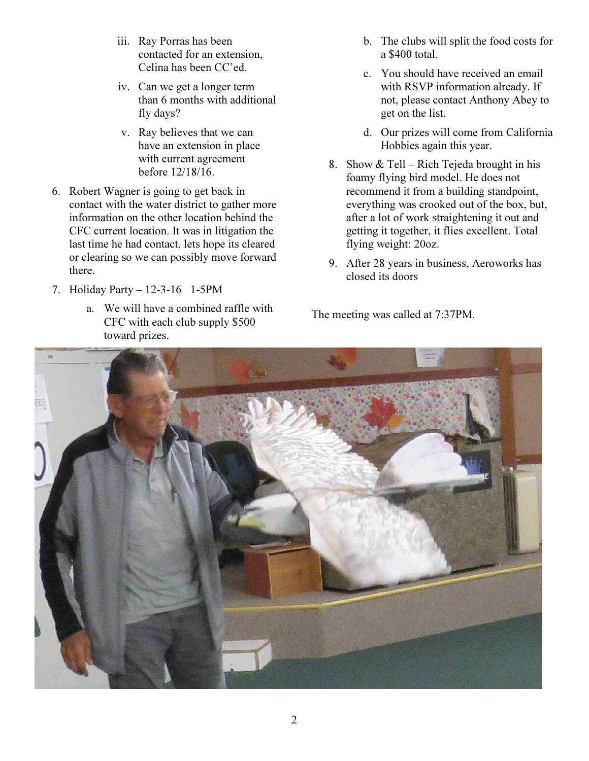- iii. Ray Porras has been contacted for an extension, Celina has been CC'ed.
- iv. Can we get a longer term than 6 months with additional fly days?
- v. Ray believes that we can have an extension in place with current agreement before 12/18/16.
- 6. Robert Wagner is going to get back in contact with the water district to gather more information on the other location behind the CFC current location. It was in litigation the last time he had contact, lets hope its cleared or clearing so we can possibly move forward there.
- 7. Holiday Party 12-3-16 1-5PM
	- a. We will have a combined raffle with CFC with each club supply \$500 toward prizes.
- b. The clubs will split the food costs for a \$400 total.
- c. You should have received an email with RSVP information already. If not, please contact Anthony Abey to get on the list.
- d. Our prizes will come from California Hobbies again this year.
- 8. Show & Tell Rich Tejeda brought in his foamy flying bird model. He does not recommend it from a building standpoint, everything was crooked out of the box, but, after a lot of work straightening it out and getting it together, it flies excellent. Total flying weight: 20oz.
- 9. After 28 years in business, Aeroworks has closed its doors

The meeting was called at 7:37PM.

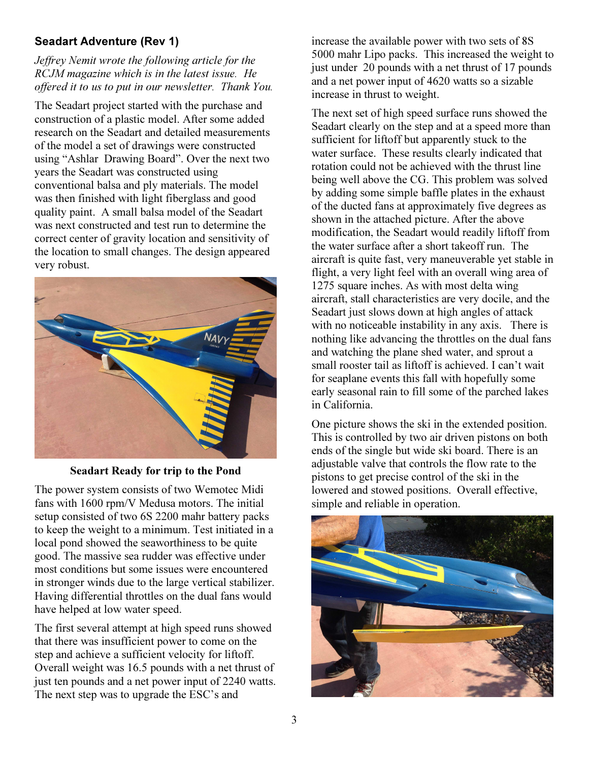## Seadart Adventure (Rev 1)

## Jeffrey Nemit wrote the following article for the RCJM magazine which is in the latest issue. He offered it to us to put in our newsletter. Thank You.

The Seadart project started with the purchase and construction of a plastic model. After some added research on the Seadart and detailed measurements of the model a set of drawings were constructed using "Ashlar Drawing Board". Over the next two years the Seadart was constructed using conventional balsa and ply materials. The model was then finished with light fiberglass and good quality paint. A small balsa model of the Seadart was next constructed and test run to determine the correct center of gravity location and sensitivity of the location to small changes. The design appeared very robust.



### Seadart Ready for trip to the Pond

The power system consists of two Wemotec Midi fans with 1600 rpm/V Medusa motors. The initial setup consisted of two 6S 2200 mahr battery packs to keep the weight to a minimum. Test initiated in a local pond showed the seaworthiness to be quite good. The massive sea rudder was effective under most conditions but some issues were encountered in stronger winds due to the large vertical stabilizer. Having differential throttles on the dual fans would have helped at low water speed.

The first several attempt at high speed runs showed that there was insufficient power to come on the step and achieve a sufficient velocity for liftoff. Overall weight was 16.5 pounds with a net thrust of just ten pounds and a net power input of 2240 watts. The next step was to upgrade the ESC's and

increase the available power with two sets of 8S 5000 mahr Lipo packs. This increased the weight to just under 20 pounds with a net thrust of 17 pounds and a net power input of 4620 watts so a sizable increase in thrust to weight.

The next set of high speed surface runs showed the Seadart clearly on the step and at a speed more than sufficient for liftoff but apparently stuck to the water surface. These results clearly indicated that rotation could not be achieved with the thrust line being well above the CG. This problem was solved by adding some simple baffle plates in the exhaust of the ducted fans at approximately five degrees as shown in the attached picture. After the above modification, the Seadart would readily liftoff from the water surface after a short takeoff run. The aircraft is quite fast, very maneuverable yet stable in flight, a very light feel with an overall wing area of 1275 square inches. As with most delta wing aircraft, stall characteristics are very docile, and the Seadart just slows down at high angles of attack with no noticeable instability in any axis. There is nothing like advancing the throttles on the dual fans and watching the plane shed water, and sprout a small rooster tail as liftoff is achieved. I can't wait for seaplane events this fall with hopefully some early seasonal rain to fill some of the parched lakes in California.

One picture shows the ski in the extended position. This is controlled by two air driven pistons on both ends of the single but wide ski board. There is an adjustable valve that controls the flow rate to the pistons to get precise control of the ski in the lowered and stowed positions. Overall effective, simple and reliable in operation.